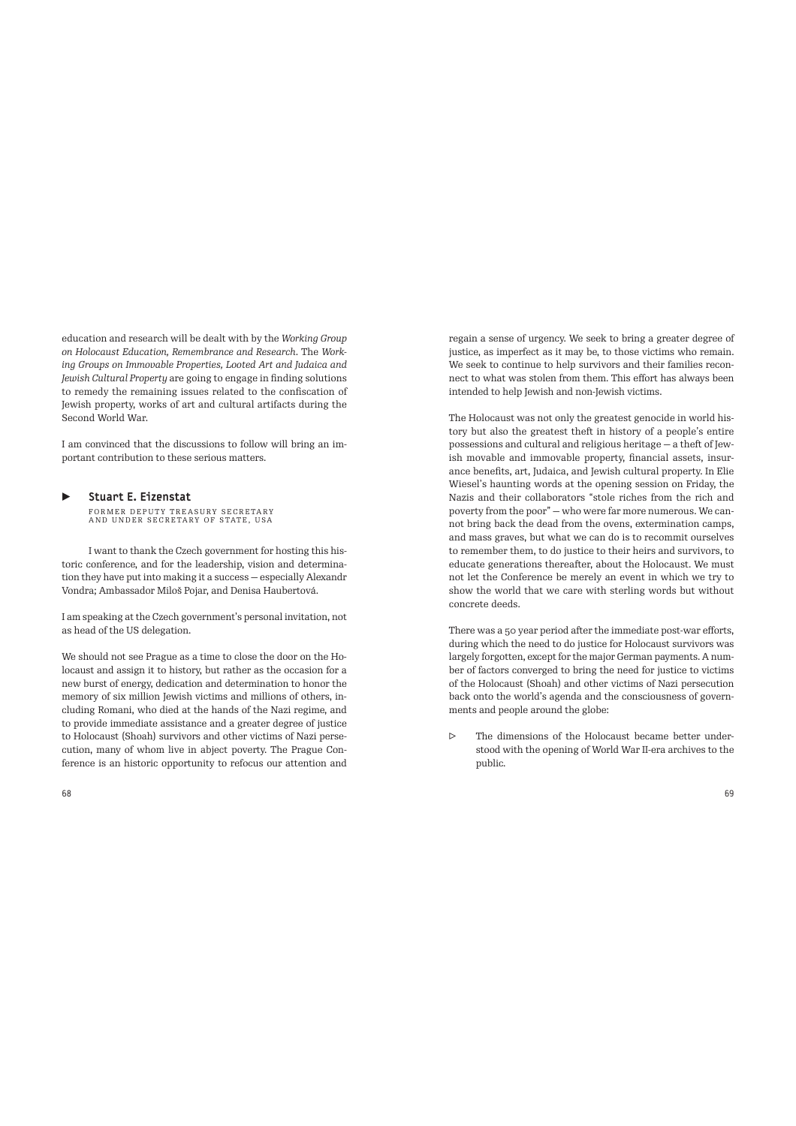education and research will be dealt with by the *Working Group on Holocaust Education, Remembrance and Research*. The *Working Groups on Immovable Properties, Looted Art and Judaica and Jewish Cultural Property* are going to engage in finding solutions to remedy the remaining issues related to the confiscation of Jewish property, works of art and cultural artifacts during the Second World War.

I am convinced that the discussions to follow will bring an important contribution to these serious matters.

## ▶ Stuart E. Eizenstat

FORMER DEPUTY TREASURY SECRETARY AND UNDER SECRETARY OF STATE, USA

I want to thank the Czech government for hosting this historic conference, and for the leadership, vision and determination they have put into making it a success — especially Alexandr Vondra; Ambassador Miloš Pojar, and Denisa Haubertová.

I am speaking at the Czech government's personal invitation, not as head of the US delegation.

We should not see Prague as a time to close the door on the Holocaust and assign it to history, but rather as the occasion for a new burst of energy, dedication and determination to honor the memory of six million Jewish victims and millions of others, including Romani, who died at the hands of the Nazi regime, and to provide immediate assistance and a greater degree of justice to Holocaust (Shoah) survivors and other victims of Nazi persecution, many of whom live in abject poverty. The Prague Conference is an historic opportunity to refocus our attention and

regain a sense of urgency. We seek to bring a greater degree of justice, as imperfect as it may be, to those victims who remain. We seek to continue to help survivors and their families reconnect to what was stolen from them. This effort has always been intended to help Jewish and non-Jewish victims.

The Holocaust was not only the greatest genocide in world history but also the greatest theft in history of a people's entire possessions and cultural and religious heritage - a theft of Jewish movable and immovable property, financial assets, insurance benefits, art, Judaica, and Jewish cultural property. In Elie Wiesel's haunting words at the opening session on Friday, the Nazis and their collaborators "stole riches from the rich and poverty from the poor" — who were far more numerous. We cannot bring back the dead from the ovens, extermination camps, and mass graves, but what we can do is to recommit ourselves to remember them, to do justice to their heirs and survivors, to educate generations thereafter, about the Holocaust. We must not let the Conference be merely an event in which we try to show the world that we care with sterling words but without concrete deeds.

There was a 50 year period after the immediate post-war efforts, during which the need to do justice for Holocaust survivors was largely forgotten, except for the major German payments. A number of factors converged to bring the need for justice to victims of the Holocaust (Shoah) and other victims of Nazi persecution back onto the world's agenda and the consciousness of governments and people around the globe:

▷ The dimensions of the Holocaust became better understood with the opening of World War II-era archives to the public.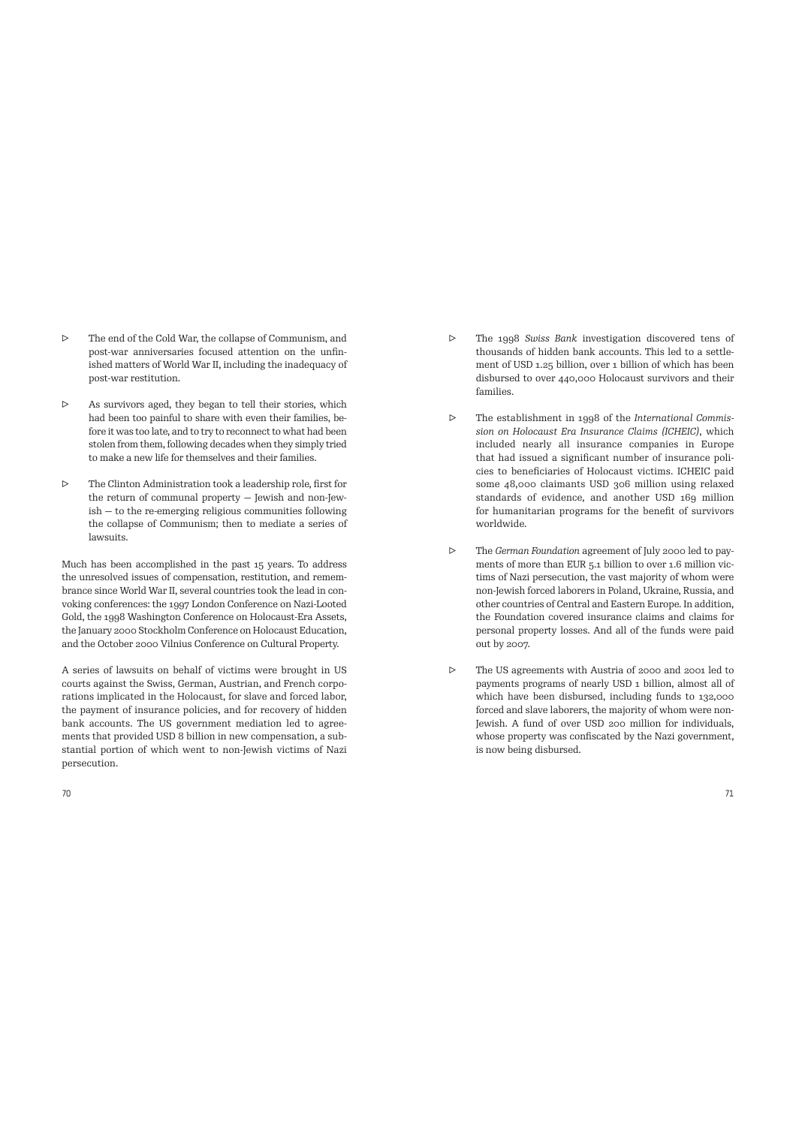- ▷ The end of the Cold War, the collapse of Communism, and post-war anniversaries focused attention on the unfinished matters of World War II, including the inadequacy of post-war restitution.
- ▷ As survivors aged, they began to tell their stories, which had been too painful to share with even their families, before it was too late, and to try to reconnect to what had been stolen from them, following decades when they simply tried to make a new life for themselves and their families.
- ▷ The Clinton Administration took a leadership role, first for the return of communal property — Jewish and non-Jewish — to the re-emerging religious communities following the collapse of Communism; then to mediate a series of lawsuits.

Much has been accomplished in the past 15 years. To address the unresolved issues of compensation, restitution, and remembrance since World War II, several countries took the lead in convoking conferences: the 1997 London Conference on Nazi-Looted Gold, the 1998 Washington Conference on Holocaust-Era Assets, the January 2000 Stockholm Conference on Holocaust Education, and the October 2000 Vilnius Conference on Cultural Property.

A series of lawsuits on behalf of victims were brought in US courts against the Swiss, German, Austrian, and French corporations implicated in the Holocaust, for slave and forced labor, the payment of insurance policies, and for recovery of hidden bank accounts. The US government mediation led to agreements that provided USD 8 billion in new compensation, a substantial portion of which went to non-Jewish victims of Nazi persecution.

- ▷ The 1998 *Swiss Bank* investigation discovered tens of thousands of hidden bank accounts. This led to a settlement of USD 1.25 billion, over 1 billion of which has been disbursed to over 440,000 Holocaust survivors and their families.
- ▷ The establishment in 1998 of the *International Commission on Holocaust Era Insurance Claims (ICHEIC)*, which included nearly all insurance companies in Europe that had issued a significant number of insurance policies to beneficiaries of Holocaust victims. ICHEIC paid some 48,000 claimants USD 306 million using relaxed standards of evidence, and another USD 169 million for humanitarian programs for the benefit of survivors worldwide.
- ▷ The *German Foundation* agreement of July 2000 led to payments of more than EUR 5.1 billion to over 1.6 million victims of Nazi persecution, the vast majority of whom were non-Jewish forced laborers in Poland, Ukraine, Russia, and other countries of Central and Eastern Europe. In addition, the Foundation covered insurance claims and claims for personal property losses. And all of the funds were paid out by 2007.
- ▷ The US agreements with Austria of 2000 and 2001 led to payments programs of nearly USD 1 billion, almost all of which have been disbursed, including funds to 132,000 forced and slave laborers, the majority of whom were non-Jewish. A fund of over USD 200 million for individuals, whose property was confiscated by the Nazi government, is now being disbursed.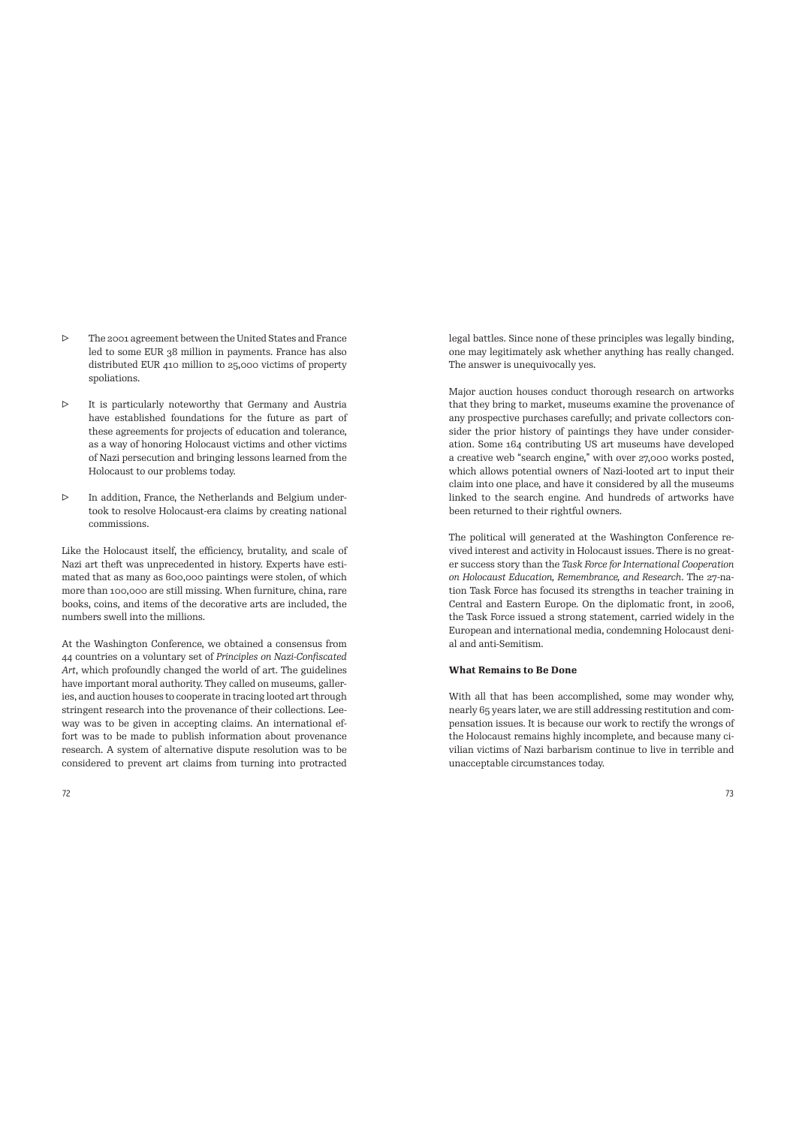- ▷ The 2001 agreement between the United States and France led to some EUR 38 million in payments. France has also distributed EUR 410 million to 25,000 victims of property spoliations.
- ▷ It is particularly noteworthy that Germany and Austria have established foundations for the future as part of these agreements for projects of education and tolerance, as a way of honoring Holocaust victims and other victims of Nazi persecution and bringing lessons learned from the Holocaust to our problems today.
- ▷ In addition, France, the Netherlands and Belgium undertook to resolve Holocaust-era claims by creating national commissions.

Like the Holocaust itself, the efficiency, brutality, and scale of Nazi art theft was unprecedented in history. Experts have estimated that as many as 600,000 paintings were stolen, of which more than 100,000 are still missing. When furniture, china, rare books, coins, and items of the decorative arts are included, the numbers swell into the millions.

At the Washington Conference, we obtained a consensus from 44 countries on a voluntary set of *Principles on Nazi-Confiscated Art*, which profoundly changed the world of art. The guidelines have important moral authority. They called on museums, galleries, and auction houses to cooperate in tracing looted art through stringent research into the provenance of their collections. Leeway was to be given in accepting claims. An international effort was to be made to publish information about provenance research. A system of alternative dispute resolution was to be considered to prevent art claims from turning into protracted legal battles. Since none of these principles was legally binding, one may legitimately ask whether anything has really changed. The answer is unequivocally yes.

Major auction houses conduct thorough research on artworks that they bring to market, museums examine the provenance of any prospective purchases carefully; and private collectors consider the prior history of paintings they have under consideration. Some 164 contributing US art museums have developed a creative web "search engine," with over 27,000 works posted, which allows potential owners of Nazi-looted art to input their claim into one place, and have it considered by all the museums linked to the search engine. And hundreds of artworks have been returned to their rightful owners.

The political will generated at the Washington Conference revived interest and activity in Holocaust issues. There is no greater success story than the *Task Force for International Cooperation on Holocaust Education, Remembrance, and Research*. The 27-nation Task Force has focused its strengths in teacher training in Central and Eastern Europe. On the diplomatic front, in 2006, the Task Force issued a strong statement, carried widely in the European and international media, condemning Holocaust denial and anti-Semitism.

## **What Remains to Be Done**

With all that has been accomplished, some may wonder why, nearly 65 years later, we are still addressing restitution and compensation issues. It is because our work to rectify the wrongs of the Holocaust remains highly incomplete, and because many civilian victims of Nazi barbarism continue to live in terrible and unacceptable circumstances today.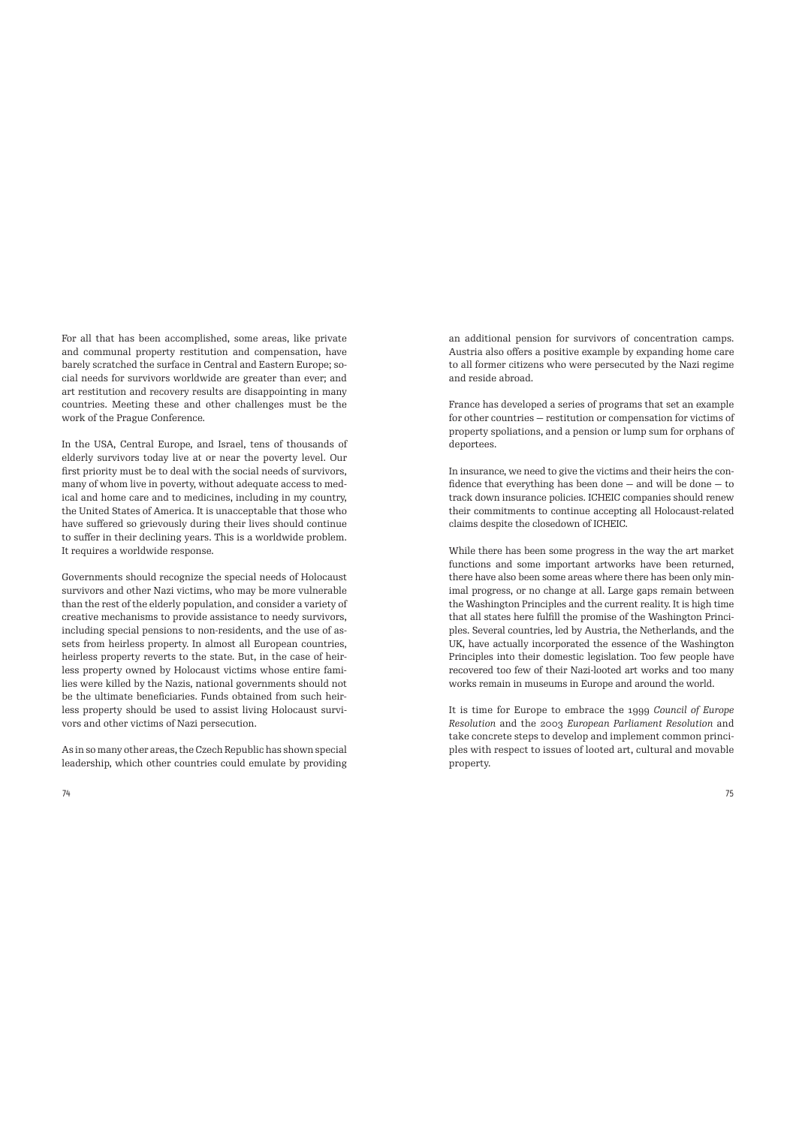For all that has been accomplished, some areas, like private and communal property restitution and compensation, have barely scratched the surface in Central and Eastern Europe; social needs for survivors worldwide are greater than ever; and art restitution and recovery results are disappointing in many countries. Meeting these and other challenges must be the work of the Prague Conference.

In the USA, Central Europe, and Israel, tens of thousands of elderly survivors today live at or near the poverty level. Our first priority must be to deal with the social needs of survivors, many of whom live in poverty, without adequate access to medical and home care and to medicines, including in my country, the United States of America. It is unacceptable that those who have suffered so grievously during their lives should continue to suffer in their declining years. This is a worldwide problem. It requires a worldwide response.

Governments should recognize the special needs of Holocaust survivors and other Nazi victims, who may be more vulnerable than the rest of the elderly population, and consider a variety of creative mechanisms to provide assistance to needy survivors, including special pensions to non-residents, and the use of assets from heirless property. In almost all European countries, heirless property reverts to the state. But, in the case of heirless property owned by Holocaust victims whose entire families were killed by the Nazis, national governments should not be the ultimate beneficiaries. Funds obtained from such heirless property should be used to assist living Holocaust survivors and other victims of Nazi persecution.

As in so many other areas, the Czech Republic has shown special leadership, which other countries could emulate by providing an additional pension for survivors of concentration camps. Austria also offers a positive example by expanding home care to all former citizens who were persecuted by the Nazi regime and reside abroad.

France has developed a series of programs that set an example for other countries — restitution or compensation for victims of property spoliations, and a pension or lump sum for orphans of deportees.

In insurance, we need to give the victims and their heirs the confidence that everything has been done — and will be done — to track down insurance policies. ICHEIC companies should renew their commitments to continue accepting all Holocaust-related claims despite the closedown of ICHEIC.

While there has been some progress in the way the art market functions and some important artworks have been returned, there have also been some areas where there has been only minimal progress, or no change at all. Large gaps remain between the Washington Principles and the current reality. It is high time that all states here fulfill the promise of the Washington Principles. Several countries, led by Austria, the Netherlands, and the UK, have actually incorporated the essence of the Washington Principles into their domestic legislation. Too few people have recovered too few of their Nazi-looted art works and too many works remain in museums in Europe and around the world.

It is time for Europe to embrace the 1999 *Council of Europe Resolution* and the 2003 *European Parliament Resolution* and take concrete steps to develop and implement common principles with respect to issues of looted art, cultural and movable property.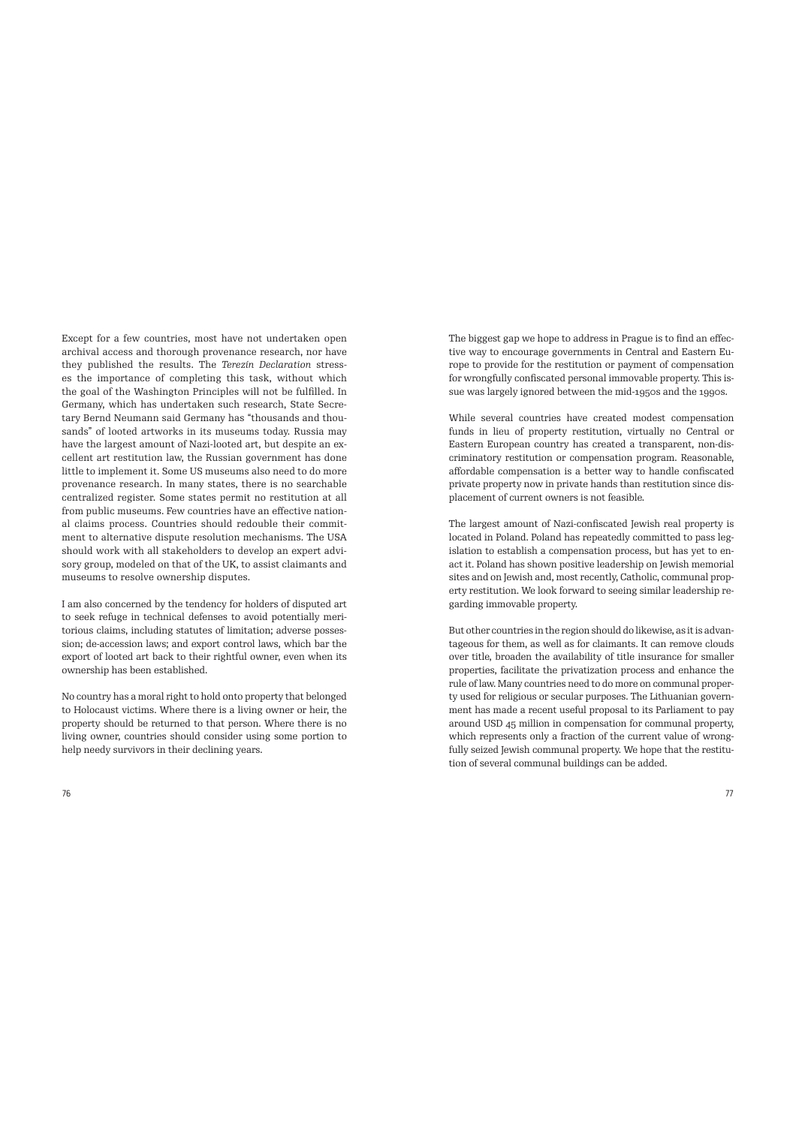Except for a few countries, most have not undertaken open archival access and thorough provenance research, nor have they published the results. The *Terezín Declaration* stresses the importance of completing this task, without which the goal of the Washington Principles will not be fulfilled. In Germany, which has undertaken such research, State Secretary Bernd Neumann said Germany has "thousands and thousands" of looted artworks in its museums today. Russia may have the largest amount of Nazi-looted art, but despite an excellent art restitution law, the Russian government has done little to implement it. Some US museums also need to do more provenance research. In many states, there is no searchable centralized register. Some states permit no restitution at all from public museums. Few countries have an effective national claims process. Countries should redouble their commitment to alternative dispute resolution mechanisms. The USA should work with all stakeholders to develop an expert advisory group, modeled on that of the UK, to assist claimants and museums to resolve ownership disputes.

I am also concerned by the tendency for holders of disputed art to seek refuge in technical defenses to avoid potentially meritorious claims, including statutes of limitation; adverse possession; de-accession laws; and export control laws, which bar the export of looted art back to their rightful owner, even when its ownership has been established.

No country has a moral right to hold onto property that belonged to Holocaust victims. Where there is a living owner or heir, the property should be returned to that person. Where there is no living owner, countries should consider using some portion to help needy survivors in their declining years.

The biggest gap we hope to address in Prague is to find an effective way to encourage governments in Central and Eastern Europe to provide for the restitution or payment of compensation for wrongfully confiscated personal immovable property. This issue was largely ignored between the mid-1950s and the 1990s.

While several countries have created modest compensation funds in lieu of property restitution, virtually no Central or Eastern European country has created a transparent, non-discriminatory restitution or compensation program. Reasonable, affordable compensation is a better way to handle confiscated private property now in private hands than restitution since displacement of current owners is not feasible.

The largest amount of Nazi-confiscated Jewish real property is located in Poland. Poland has repeatedly committed to pass legislation to establish a compensation process, but has yet to enact it. Poland has shown positive leadership on Jewish memorial sites and on Jewish and, most recently, Catholic, communal property restitution. We look forward to seeing similar leadership regarding immovable property.

But other countries in the region should do likewise, as it is advantageous for them, as well as for claimants. It can remove clouds over title, broaden the availability of title insurance for smaller properties, facilitate the privatization process and enhance the rule of law. Many countries need to do more on communal property used for religious or secular purposes. The Lithuanian government has made a recent useful proposal to its Parliament to pay around USD 45 million in compensation for communal property, which represents only a fraction of the current value of wrongfully seized Jewish communal property. We hope that the restitution of several communal buildings can be added.